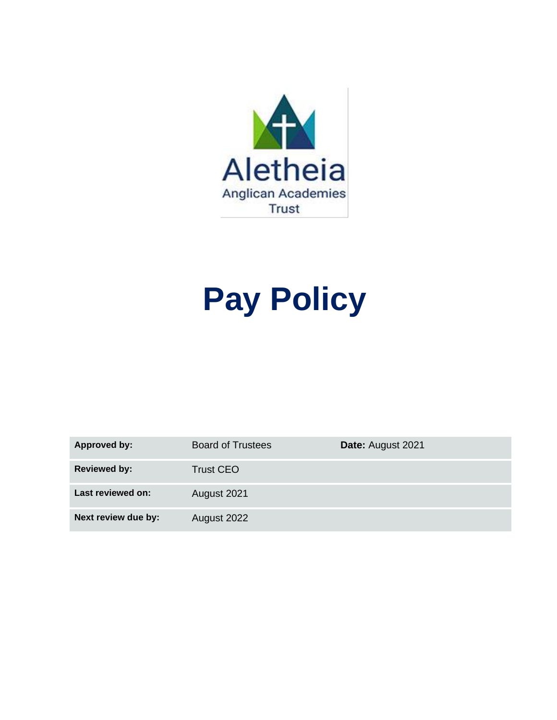

# **Pay Policy**

| Approved by:        | <b>Board of Trustees</b> | Date: August 2021 |
|---------------------|--------------------------|-------------------|
| <b>Reviewed by:</b> | <b>Trust CEO</b>         |                   |
| Last reviewed on:   | August 2021              |                   |
| Next review due by: | August 2022              |                   |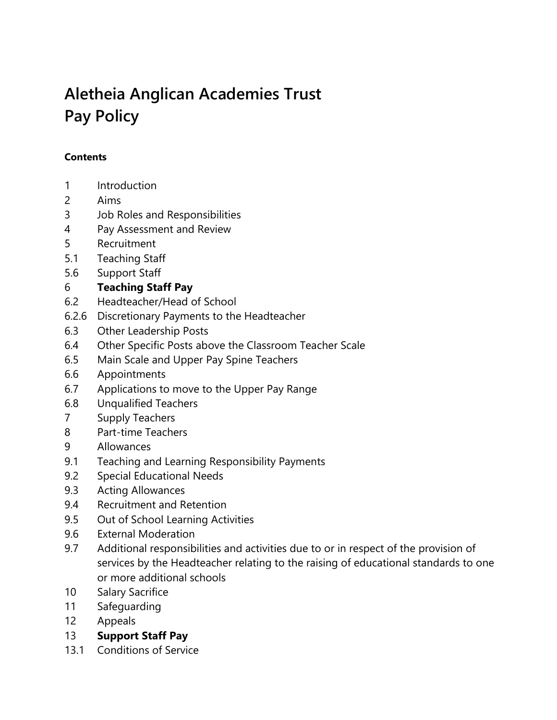# **Aletheia Anglican Academies Trust Pay Policy**

#### **Contents**

- 1 Introduction
- 2 Aims
- 3 Job Roles and Responsibilities
- 4 Pay Assessment and Review
- 5 Recruitment
- 5.1 Teaching Staff
- 5.6 Support Staff

### 6 **Teaching Staff Pay**

- 6.2 Headteacher/Head of School
- 6.2.6 Discretionary Payments to the Headteacher
- 6.3 Other Leadership Posts
- 6.4 Other Specific Posts above the Classroom Teacher Scale
- 6.5 Main Scale and Upper Pay Spine Teachers
- 6.6 Appointments
- 6.7 Applications to move to the Upper Pay Range
- 6.8 Unqualified Teachers
- 7 Supply Teachers
- 8 Part-time Teachers
- 9 Allowances
- 9.1 Teaching and Learning Responsibility Payments
- 9.2 Special Educational Needs
- 9.3 Acting Allowances
- 9.4 Recruitment and Retention
- 9.5 Out of School Learning Activities
- 9.6 External Moderation
- 9.7 Additional responsibilities and activities due to or in respect of the provision of services by the Headteacher relating to the raising of educational standards to one or more additional schools
- 10 Salary Sacrifice
- 11 Safeguarding
- 12 Appeals
- 13 **Support Staff Pay**
- 13.1 Conditions of Service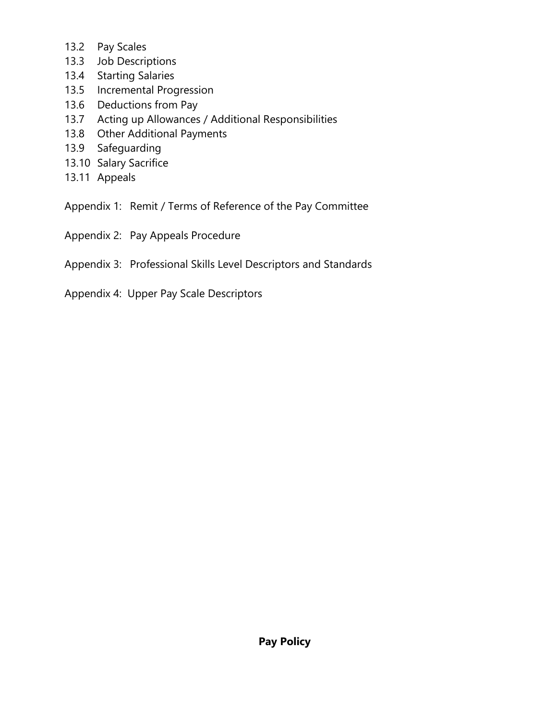- 13.2 Pay Scales
- 13.3 Job Descriptions
- 13.4 Starting Salaries
- 13.5 Incremental Progression
- 13.6 Deductions from Pay
- 13.7 Acting up Allowances / Additional Responsibilities
- 13.8 Other Additional Payments
- 13.9 Safeguarding
- 13.10 Salary Sacrifice
- 13.11 Appeals
- Appendix 1: Remit / Terms of Reference of the Pay Committee
- Appendix 2: Pay Appeals Procedure
- Appendix 3: Professional Skills Level Descriptors and Standards
- Appendix 4: Upper Pay Scale Descriptors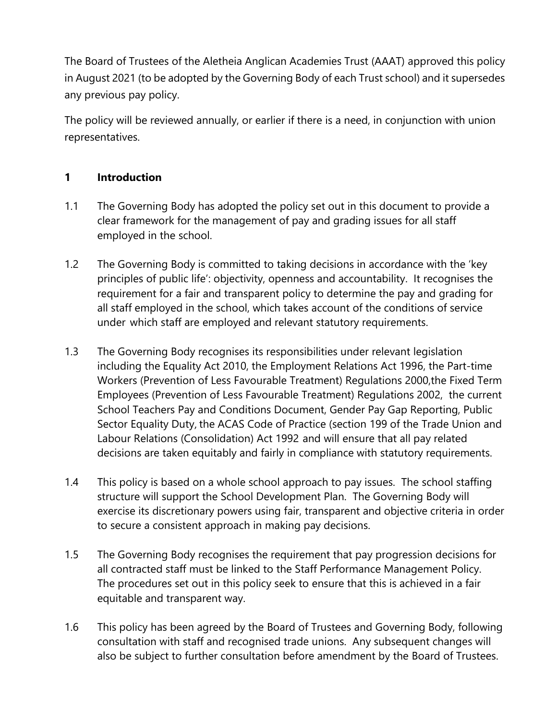The Board of Trustees of the Aletheia Anglican Academies Trust (AAAT) approved this policy in August 2021 (to be adopted by the Governing Body of each Trust school) and it supersedes any previous pay policy.

The policy will be reviewed annually, or earlier if there is a need, in conjunction with union representatives.

# **1 Introduction**

- 1.1 The Governing Body has adopted the policy set out in this document to provide a clear framework for the management of pay and grading issues for all staff employed in the school.
- 1.2 The Governing Body is committed to taking decisions in accordance with the 'key principles of public life': objectivity, openness and accountability. It recognises the requirement for a fair and transparent policy to determine the pay and grading for all staff employed in the school, which takes account of the conditions of service under which staff are employed and relevant statutory requirements.
- 1.3 The Governing Body recognises its responsibilities under relevant legislation including the Equality Act 2010, the Employment Relations Act 1996, the Part-time Workers (Prevention of Less Favourable Treatment) Regulations 2000,the Fixed Term Employees (Prevention of Less Favourable Treatment) Regulations 2002, the current School Teachers Pay and Conditions Document, Gender Pay Gap Reporting, Public Sector Equality Duty, the ACAS Code of Practice (section 199 of the Trade Union and Labour Relations (Consolidation) Act 1992 and will ensure that all pay related decisions are taken equitably and fairly in compliance with statutory requirements.
- 1.4 This policy is based on a whole school approach to pay issues. The school staffing structure will support the School Development Plan. The Governing Body will exercise its discretionary powers using fair, transparent and objective criteria in order to secure a consistent approach in making pay decisions.
- 1.5 The Governing Body recognises the requirement that pay progression decisions for all contracted staff must be linked to the Staff Performance Management Policy. The procedures set out in this policy seek to ensure that this is achieved in a fair equitable and transparent way.
- 1.6 This policy has been agreed by the Board of Trustees and Governing Body, following consultation with staff and recognised trade unions. Any subsequent changes will also be subject to further consultation before amendment by the Board of Trustees.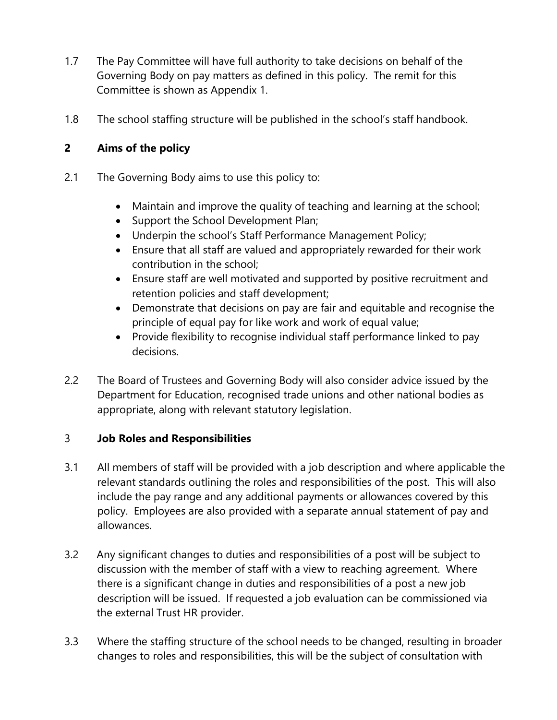- 1.7 The Pay Committee will have full authority to take decisions on behalf of the Governing Body on pay matters as defined in this policy. The remit for this Committee is shown as Appendix 1.
- 1.8 The school staffing structure will be published in the school's staff handbook.

# **2 Aims of the policy**

- 2.1 The Governing Body aims to use this policy to:
	- Maintain and improve the quality of teaching and learning at the school;
	- Support the School Development Plan;
	- Underpin the school's Staff Performance Management Policy;
	- Ensure that all staff are valued and appropriately rewarded for their work contribution in the school;
	- Ensure staff are well motivated and supported by positive recruitment and retention policies and staff development;
	- Demonstrate that decisions on pay are fair and equitable and recognise the principle of equal pay for like work and work of equal value;
	- Provide flexibility to recognise individual staff performance linked to pay decisions.
- 2.2 The Board of Trustees and Governing Body will also consider advice issued by the Department for Education, recognised trade unions and other national bodies as appropriate, along with relevant statutory legislation.

### 3 **Job Roles and Responsibilities**

- 3.1 All members of staff will be provided with a job description and where applicable the relevant standards outlining the roles and responsibilities of the post. This will also include the pay range and any additional payments or allowances covered by this policy. Employees are also provided with a separate annual statement of pay and allowances.
- 3.2 Any significant changes to duties and responsibilities of a post will be subject to discussion with the member of staff with a view to reaching agreement. Where there is a significant change in duties and responsibilities of a post a new job description will be issued. If requested a job evaluation can be commissioned via the external Trust HR provider.
- 3.3 Where the staffing structure of the school needs to be changed, resulting in broader changes to roles and responsibilities, this will be the subject of consultation with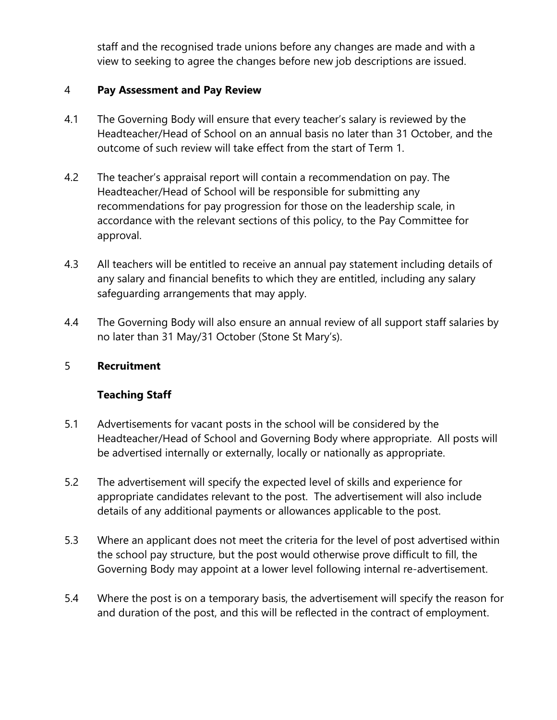staff and the recognised trade unions before any changes are made and with a view to seeking to agree the changes before new job descriptions are issued.

#### 4 **Pay Assessment and Pay Review**

- 4.1 The Governing Body will ensure that every teacher's salary is reviewed by the Headteacher/Head of School on an annual basis no later than 31 October, and the outcome of such review will take effect from the start of Term 1.
- 4.2 The teacher's appraisal report will contain a recommendation on pay. The Headteacher/Head of School will be responsible for submitting any recommendations for pay progression for those on the leadership scale, in accordance with the relevant sections of this policy, to the Pay Committee for approval.
- 4.3 All teachers will be entitled to receive an annual pay statement including details of any salary and financial benefits to which they are entitled, including any salary safeguarding arrangements that may apply.
- 4.4 The Governing Body will also ensure an annual review of all support staff salaries by no later than 31 May/31 October (Stone St Mary's).

#### 5 **Recruitment**

### **Teaching Staff**

- 5.1 Advertisements for vacant posts in the school will be considered by the Headteacher/Head of School and Governing Body where appropriate. All posts will be advertised internally or externally, locally or nationally as appropriate.
- 5.2 The advertisement will specify the expected level of skills and experience for appropriate candidates relevant to the post. The advertisement will also include details of any additional payments or allowances applicable to the post.
- 5.3 Where an applicant does not meet the criteria for the level of post advertised within the school pay structure, but the post would otherwise prove difficult to fill, the Governing Body may appoint at a lower level following internal re-advertisement.
- 5.4 Where the post is on a temporary basis, the advertisement will specify the reason for and duration of the post, and this will be reflected in the contract of employment.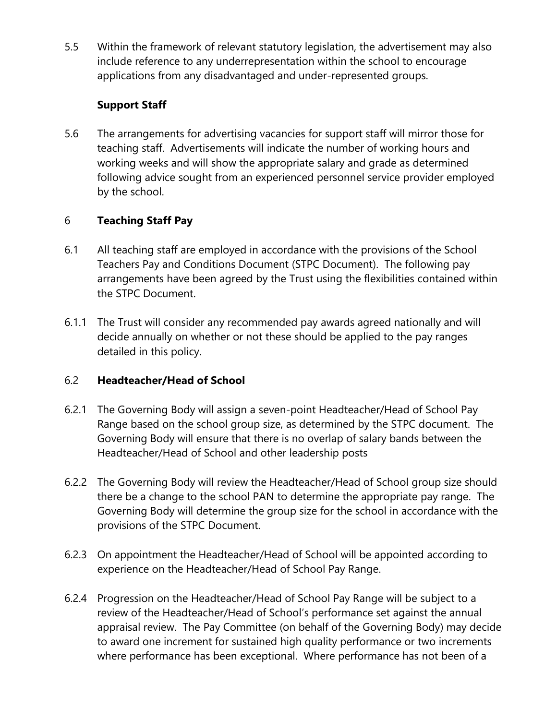5.5 Within the framework of relevant statutory legislation, the advertisement may also include reference to any underrepresentation within the school to encourage applications from any disadvantaged and under-represented groups.

# **Support Staff**

5.6 The arrangements for advertising vacancies for support staff will mirror those for teaching staff. Advertisements will indicate the number of working hours and working weeks and will show the appropriate salary and grade as determined following advice sought from an experienced personnel service provider employed by the school.

# 6 **Teaching Staff Pay**

- 6.1 All teaching staff are employed in accordance with the provisions of the School Teachers Pay and Conditions Document (STPC Document). The following pay arrangements have been agreed by the Trust using the flexibilities contained within the STPC Document.
- 6.1.1 The Trust will consider any recommended pay awards agreed nationally and will decide annually on whether or not these should be applied to the pay ranges detailed in this policy.

### 6.2 **Headteacher/Head of School**

- 6.2.1 The Governing Body will assign a seven-point Headteacher/Head of School Pay Range based on the school group size, as determined by the STPC document. The Governing Body will ensure that there is no overlap of salary bands between the Headteacher/Head of School and other leadership posts
- 6.2.2 The Governing Body will review the Headteacher/Head of School group size should there be a change to the school PAN to determine the appropriate pay range. The Governing Body will determine the group size for the school in accordance with the provisions of the STPC Document.
- 6.2.3 On appointment the Headteacher/Head of School will be appointed according to experience on the Headteacher/Head of School Pay Range.
- 6.2.4 Progression on the Headteacher/Head of School Pay Range will be subject to a review of the Headteacher/Head of School's performance set against the annual appraisal review. The Pay Committee (on behalf of the Governing Body) may decide to award one increment for sustained high quality performance or two increments where performance has been exceptional. Where performance has not been of a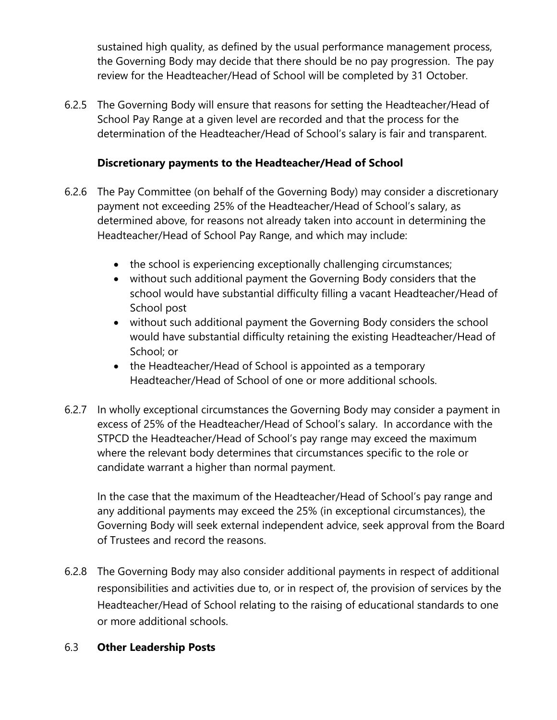sustained high quality, as defined by the usual performance management process, the Governing Body may decide that there should be no pay progression. The pay review for the Headteacher/Head of School will be completed by 31 October.

6.2.5 The Governing Body will ensure that reasons for setting the Headteacher/Head of School Pay Range at a given level are recorded and that the process for the determination of the Headteacher/Head of School's salary is fair and transparent.

#### **Discretionary payments to the Headteacher/Head of School**

- 6.2.6 The Pay Committee (on behalf of the Governing Body) may consider a discretionary payment not exceeding 25% of the Headteacher/Head of School's salary, as determined above, for reasons not already taken into account in determining the Headteacher/Head of School Pay Range, and which may include:
	- the school is experiencing exceptionally challenging circumstances;
	- without such additional payment the Governing Body considers that the school would have substantial difficulty filling a vacant Headteacher/Head of School post
	- without such additional payment the Governing Body considers the school would have substantial difficulty retaining the existing Headteacher/Head of School; or
	- the Headteacher/Head of School is appointed as a temporary Headteacher/Head of School of one or more additional schools.
- 6.2.7 In wholly exceptional circumstances the Governing Body may consider a payment in excess of 25% of the Headteacher/Head of School's salary. In accordance with the STPCD the Headteacher/Head of School's pay range may exceed the maximum where the relevant body determines that circumstances specific to the role or candidate warrant a higher than normal payment.

In the case that the maximum of the Headteacher/Head of School's pay range and any additional payments may exceed the 25% (in exceptional circumstances), the Governing Body will seek external independent advice, seek approval from the Board of Trustees and record the reasons.

6.2.8 The Governing Body may also consider additional payments in respect of additional responsibilities and activities due to, or in respect of, the provision of services by the Headteacher/Head of School relating to the raising of educational standards to one or more additional schools.

#### 6.3 **Other Leadership Posts**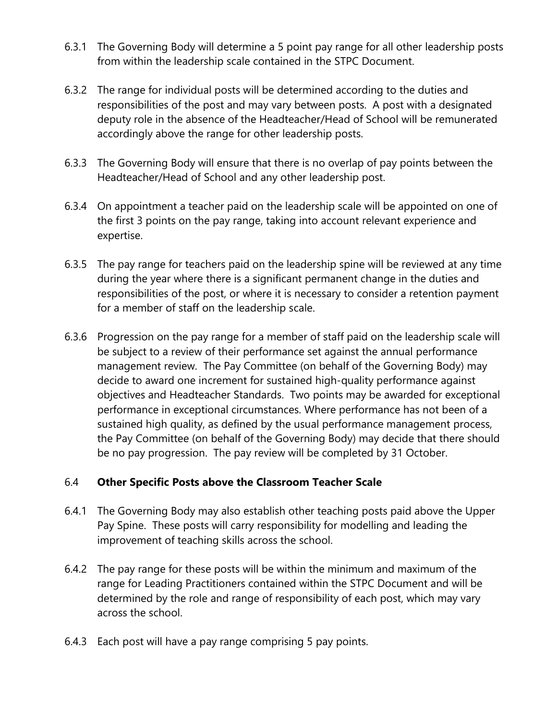- 6.3.1 The Governing Body will determine a 5 point pay range for all other leadership posts from within the leadership scale contained in the STPC Document.
- 6.3.2 The range for individual posts will be determined according to the duties and responsibilities of the post and may vary between posts. A post with a designated deputy role in the absence of the Headteacher/Head of School will be remunerated accordingly above the range for other leadership posts.
- 6.3.3 The Governing Body will ensure that there is no overlap of pay points between the Headteacher/Head of School and any other leadership post.
- 6.3.4 On appointment a teacher paid on the leadership scale will be appointed on one of the first 3 points on the pay range, taking into account relevant experience and expertise.
- 6.3.5 The pay range for teachers paid on the leadership spine will be reviewed at any time during the year where there is a significant permanent change in the duties and responsibilities of the post, or where it is necessary to consider a retention payment for a member of staff on the leadership scale.
- 6.3.6 Progression on the pay range for a member of staff paid on the leadership scale will be subject to a review of their performance set against the annual performance management review. The Pay Committee (on behalf of the Governing Body) may decide to award one increment for sustained high-quality performance against objectives and Headteacher Standards. Two points may be awarded for exceptional performance in exceptional circumstances. Where performance has not been of a sustained high quality, as defined by the usual performance management process, the Pay Committee (on behalf of the Governing Body) may decide that there should be no pay progression. The pay review will be completed by 31 October.

#### 6.4 **Other Specific Posts above the Classroom Teacher Scale**

- 6.4.1 The Governing Body may also establish other teaching posts paid above the Upper Pay Spine. These posts will carry responsibility for modelling and leading the improvement of teaching skills across the school.
- 6.4.2 The pay range for these posts will be within the minimum and maximum of the range for Leading Practitioners contained within the STPC Document and will be determined by the role and range of responsibility of each post, which may vary across the school.
- 6.4.3 Each post will have a pay range comprising 5 pay points.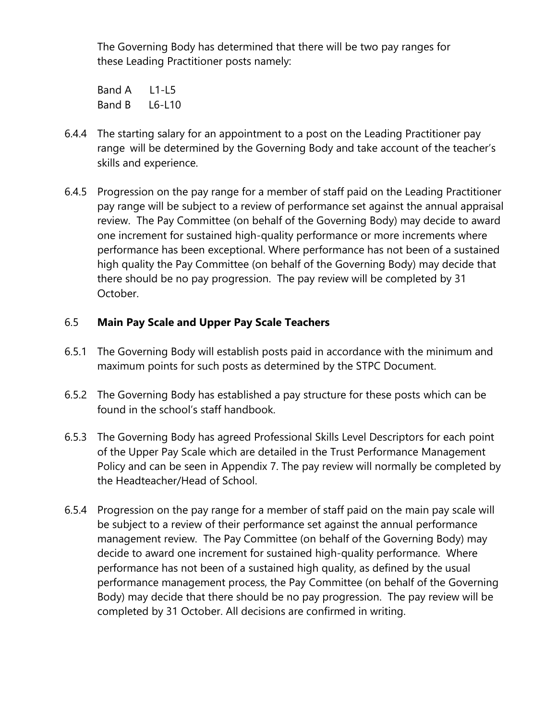The Governing Body has determined that there will be two pay ranges for these Leading Practitioner posts namely:

Band A L1-L5 Band B L6-L10

- 6.4.4 The starting salary for an appointment to a post on the Leading Practitioner pay range will be determined by the Governing Body and take account of the teacher's skills and experience.
- 6.4.5 Progression on the pay range for a member of staff paid on the Leading Practitioner pay range will be subject to a review of performance set against the annual appraisal review. The Pay Committee (on behalf of the Governing Body) may decide to award one increment for sustained high-quality performance or more increments where performance has been exceptional. Where performance has not been of a sustained high quality the Pay Committee (on behalf of the Governing Body) may decide that there should be no pay progression. The pay review will be completed by 31 October.

### 6.5 **Main Pay Scale and Upper Pay Scale Teachers**

- 6.5.1 The Governing Body will establish posts paid in accordance with the minimum and maximum points for such posts as determined by the STPC Document.
- 6.5.2 The Governing Body has established a pay structure for these posts which can be found in the school's staff handbook.
- 6.5.3 The Governing Body has agreed Professional Skills Level Descriptors for each point of the Upper Pay Scale which are detailed in the Trust Performance Management Policy and can be seen in Appendix 7. The pay review will normally be completed by the Headteacher/Head of School.
- 6.5.4 Progression on the pay range for a member of staff paid on the main pay scale will be subject to a review of their performance set against the annual performance management review. The Pay Committee (on behalf of the Governing Body) may decide to award one increment for sustained high-quality performance. Where performance has not been of a sustained high quality, as defined by the usual performance management process, the Pay Committee (on behalf of the Governing Body) may decide that there should be no pay progression. The pay review will be completed by 31 October. All decisions are confirmed in writing.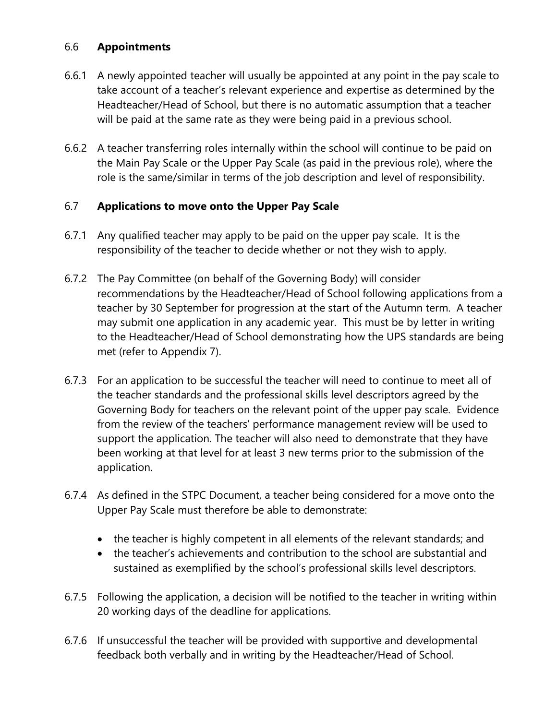#### 6.6 **Appointments**

- 6.6.1 A newly appointed teacher will usually be appointed at any point in the pay scale to take account of a teacher's relevant experience and expertise as determined by the Headteacher/Head of School, but there is no automatic assumption that a teacher will be paid at the same rate as they were being paid in a previous school.
- 6.6.2 A teacher transferring roles internally within the school will continue to be paid on the Main Pay Scale or the Upper Pay Scale (as paid in the previous role), where the role is the same/similar in terms of the job description and level of responsibility.

### 6.7 **Applications to move onto the Upper Pay Scale**

- 6.7.1 Any qualified teacher may apply to be paid on the upper pay scale. It is the responsibility of the teacher to decide whether or not they wish to apply.
- 6.7.2 The Pay Committee (on behalf of the Governing Body) will consider recommendations by the Headteacher/Head of School following applications from a teacher by 30 September for progression at the start of the Autumn term. A teacher may submit one application in any academic year. This must be by letter in writing to the Headteacher/Head of School demonstrating how the UPS standards are being met (refer to Appendix 7).
- 6.7.3 For an application to be successful the teacher will need to continue to meet all of the teacher standards and the professional skills level descriptors agreed by the Governing Body for teachers on the relevant point of the upper pay scale. Evidence from the review of the teachers' performance management review will be used to support the application. The teacher will also need to demonstrate that they have been working at that level for at least 3 new terms prior to the submission of the application.
- 6.7.4 As defined in the STPC Document, a teacher being considered for a move onto the Upper Pay Scale must therefore be able to demonstrate:
	- the teacher is highly competent in all elements of the relevant standards; and
	- the teacher's achievements and contribution to the school are substantial and sustained as exemplified by the school's professional skills level descriptors.
- 6.7.5 Following the application, a decision will be notified to the teacher in writing within 20 working days of the deadline for applications.
- 6.7.6 If unsuccessful the teacher will be provided with supportive and developmental feedback both verbally and in writing by the Headteacher/Head of School.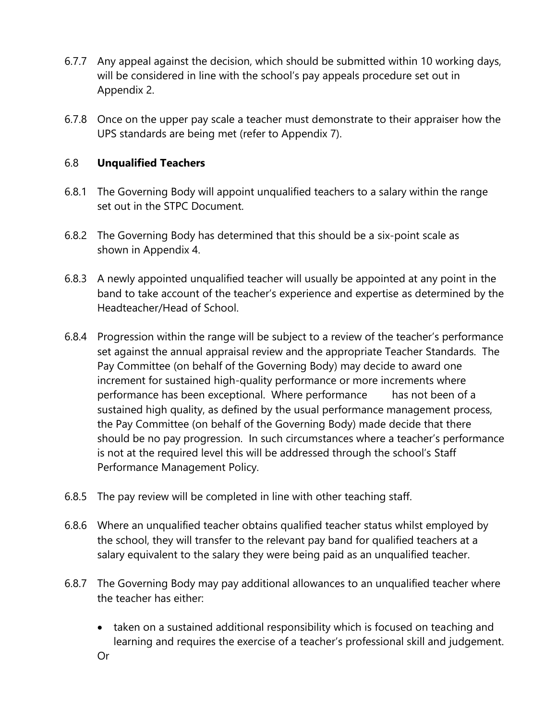- 6.7.7 Any appeal against the decision, which should be submitted within 10 working days, will be considered in line with the school's pay appeals procedure set out in Appendix 2.
- 6.7.8 Once on the upper pay scale a teacher must demonstrate to their appraiser how the UPS standards are being met (refer to Appendix 7).

#### 6.8 **Unqualified Teachers**

- 6.8.1 The Governing Body will appoint unqualified teachers to a salary within the range set out in the STPC Document.
- 6.8.2 The Governing Body has determined that this should be a six-point scale as shown in Appendix 4.
- 6.8.3 A newly appointed unqualified teacher will usually be appointed at any point in the band to take account of the teacher's experience and expertise as determined by the Headteacher/Head of School.
- 6.8.4 Progression within the range will be subject to a review of the teacher's performance set against the annual appraisal review and the appropriate Teacher Standards. The Pay Committee (on behalf of the Governing Body) may decide to award one increment for sustained high-quality performance or more increments where performance has been exceptional. Where performance has not been of a sustained high quality, as defined by the usual performance management process, the Pay Committee (on behalf of the Governing Body) made decide that there should be no pay progression. In such circumstances where a teacher's performance is not at the required level this will be addressed through the school's Staff Performance Management Policy.
- 6.8.5 The pay review will be completed in line with other teaching staff.
- 6.8.6 Where an unqualified teacher obtains qualified teacher status whilst employed by the school, they will transfer to the relevant pay band for qualified teachers at a salary equivalent to the salary they were being paid as an unqualified teacher.
- 6.8.7 The Governing Body may pay additional allowances to an unqualified teacher where the teacher has either:
	- taken on a sustained additional responsibility which is focused on teaching and learning and requires the exercise of a teacher's professional skill and judgement.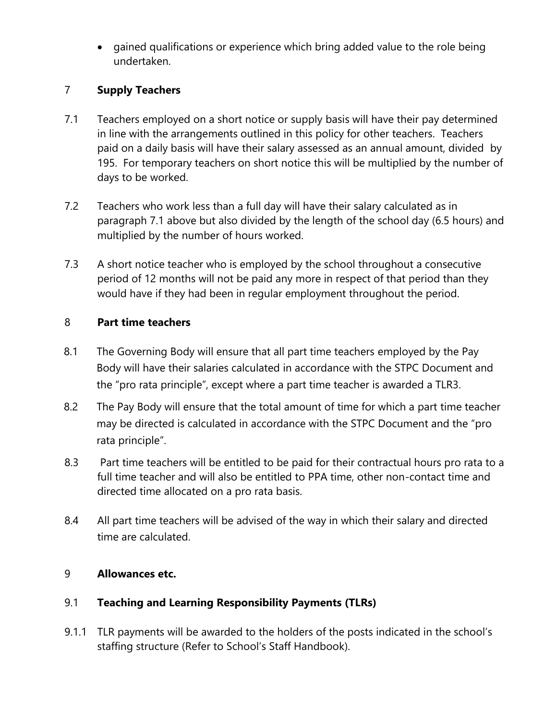• gained qualifications or experience which bring added value to the role being undertaken.

#### 7 **Supply Teachers**

- 7.1 Teachers employed on a short notice or supply basis will have their pay determined in line with the arrangements outlined in this policy for other teachers. Teachers paid on a daily basis will have their salary assessed as an annual amount, divided by 195. For temporary teachers on short notice this will be multiplied by the number of days to be worked.
- 7.2 Teachers who work less than a full day will have their salary calculated as in paragraph 7.1 above but also divided by the length of the school day (6.5 hours) and multiplied by the number of hours worked.
- 7.3 A short notice teacher who is employed by the school throughout a consecutive period of 12 months will not be paid any more in respect of that period than they would have if they had been in regular employment throughout the period.

#### 8 **Part time teachers**

- 8.1 The Governing Body will ensure that all part time teachers employed by the Pay Body will have their salaries calculated in accordance with the STPC Document and the "pro rata principle", except where a part time teacher is awarded a TLR3.
- 8.2 The Pay Body will ensure that the total amount of time for which a part time teacher may be directed is calculated in accordance with the STPC Document and the "pro rata principle".
- 8.3 Part time teachers will be entitled to be paid for their contractual hours pro rata to a full time teacher and will also be entitled to PPA time, other non-contact time and directed time allocated on a pro rata basis.
- 8.4 All part time teachers will be advised of the way in which their salary and directed time are calculated.

#### 9 **Allowances etc.**

### 9.1 **Teaching and Learning Responsibility Payments (TLRs)**

9.1.1 TLR payments will be awarded to the holders of the posts indicated in the school's staffing structure (Refer to School's Staff Handbook).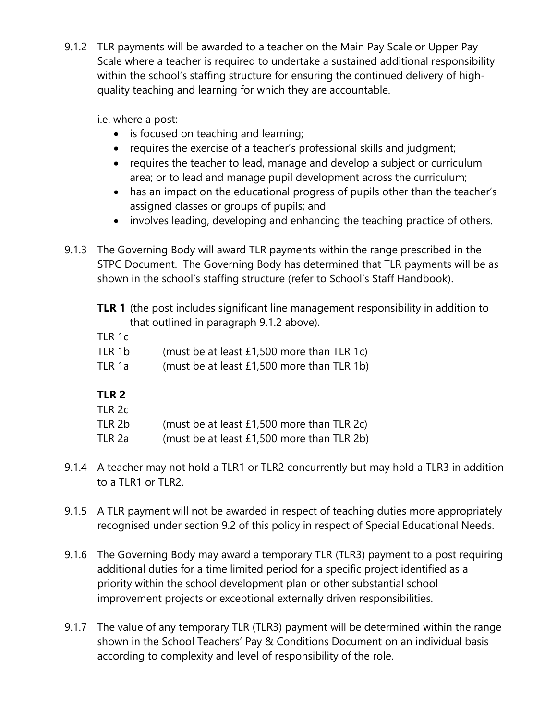9.1.2 TLR payments will be awarded to a teacher on the Main Pay Scale or Upper Pay Scale where a teacher is required to undertake a sustained additional responsibility within the school's staffing structure for ensuring the continued delivery of highquality teaching and learning for which they are accountable.

i.e. where a post:

- is focused on teaching and learning;
- requires the exercise of a teacher's professional skills and judgment;
- requires the teacher to lead, manage and develop a subject or curriculum area; or to lead and manage pupil development across the curriculum;
- has an impact on the educational progress of pupils other than the teacher's assigned classes or groups of pupils; and
- involves leading, developing and enhancing the teaching practice of others.
- 9.1.3 The Governing Body will award TLR payments within the range prescribed in the STPC Document. The Governing Body has determined that TLR payments will be as shown in the school's staffing structure (refer to School's Staff Handbook).
	- **TLR 1** (the post includes significant line management responsibility in addition to that outlined in paragraph 9.1.2 above).
	- TLR 1c
	- TLR 1b (must be at least £1,500 more than TLR 1c)
	- TLR 1a (must be at least £1,500 more than TLR 1b)

# **TLR 2**

|--|--|

- TLR 2b (must be at least £1,500 more than TLR 2c)
- TLR 2a (must be at least £1,500 more than TLR 2b)
- 9.1.4 A teacher may not hold a TLR1 or TLR2 concurrently but may hold a TLR3 in addition to a TLR1 or TLR2.
- 9.1.5 A TLR payment will not be awarded in respect of teaching duties more appropriately recognised under section 9.2 of this policy in respect of Special Educational Needs.
- 9.1.6 The Governing Body may award a temporary TLR (TLR3) payment to a post requiring additional duties for a time limited period for a specific project identified as a priority within the school development plan or other substantial school improvement projects or exceptional externally driven responsibilities.
- 9.1.7 The value of any temporary TLR (TLR3) payment will be determined within the range shown in the School Teachers' Pay & Conditions Document on an individual basis according to complexity and level of responsibility of the role.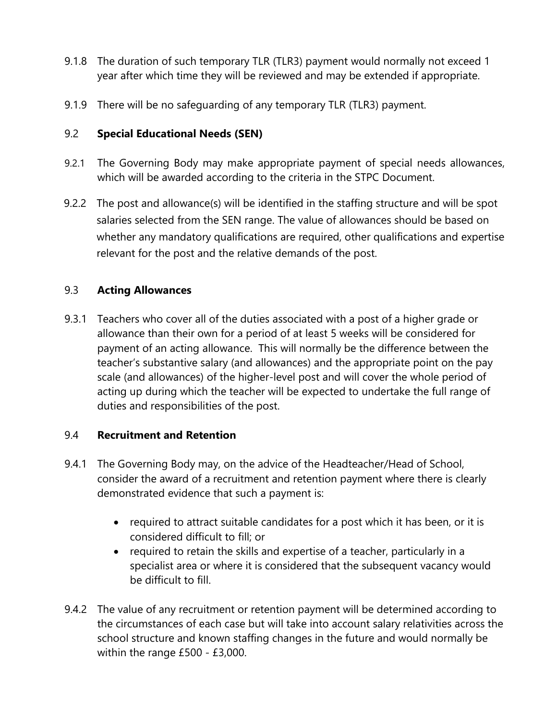- 9.1.8 The duration of such temporary TLR (TLR3) payment would normally not exceed 1 year after which time they will be reviewed and may be extended if appropriate.
- 9.1.9 There will be no safeguarding of any temporary TLR (TLR3) payment.

#### 9.2 **Special Educational Needs (SEN)**

- 9.2.1 The Governing Body may make appropriate payment of special needs allowances, which will be awarded according to the criteria in the STPC Document.
- 9.2.2 The post and allowance(s) will be identified in the staffing structure and will be spot salaries selected from the SEN range. The value of allowances should be based on whether any mandatory qualifications are required, other qualifications and expertise relevant for the post and the relative demands of the post.

#### 9.3 **Acting Allowances**

9.3.1 Teachers who cover all of the duties associated with a post of a higher grade or allowance than their own for a period of at least 5 weeks will be considered for payment of an acting allowance. This will normally be the difference between the teacher's substantive salary (and allowances) and the appropriate point on the pay scale (and allowances) of the higher-level post and will cover the whole period of acting up during which the teacher will be expected to undertake the full range of duties and responsibilities of the post.

#### 9.4 **Recruitment and Retention**

- 9.4.1 The Governing Body may, on the advice of the Headteacher/Head of School, consider the award of a recruitment and retention payment where there is clearly demonstrated evidence that such a payment is:
	- required to attract suitable candidates for a post which it has been, or it is considered difficult to fill; or
	- required to retain the skills and expertise of a teacher, particularly in a specialist area or where it is considered that the subsequent vacancy would be difficult to fill.
- 9.4.2 The value of any recruitment or retention payment will be determined according to the circumstances of each case but will take into account salary relativities across the school structure and known staffing changes in the future and would normally be within the range £500 - £3,000.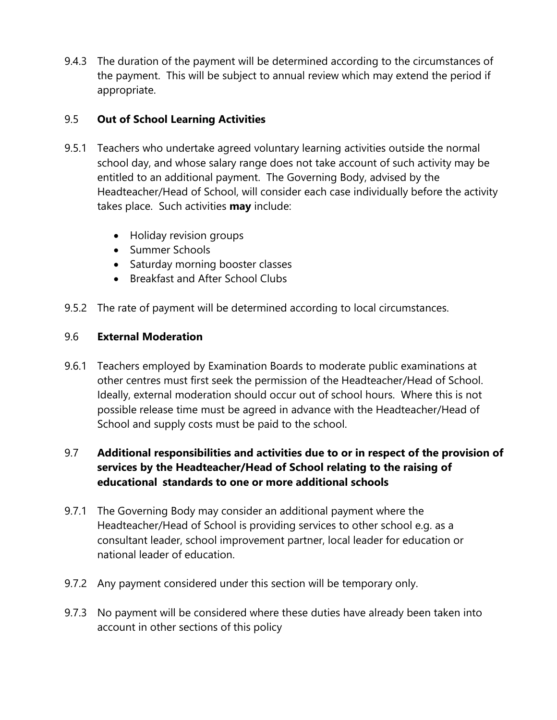9.4.3 The duration of the payment will be determined according to the circumstances of the payment. This will be subject to annual review which may extend the period if appropriate.

#### 9.5 **Out of School Learning Activities**

- 9.5.1 Teachers who undertake agreed voluntary learning activities outside the normal school day, and whose salary range does not take account of such activity may be entitled to an additional payment. The Governing Body, advised by the Headteacher/Head of School, will consider each case individually before the activity takes place. Such activities **may** include:
	- Holiday revision groups
	- Summer Schools
	- Saturday morning booster classes
	- Breakfast and After School Clubs
- 9.5.2 The rate of payment will be determined according to local circumstances.

### 9.6 **External Moderation**

9.6.1 Teachers employed by Examination Boards to moderate public examinations at other centres must first seek the permission of the Headteacher/Head of School. Ideally, external moderation should occur out of school hours. Where this is not possible release time must be agreed in advance with the Headteacher/Head of School and supply costs must be paid to the school.

# 9.7 **Additional responsibilities and activities due to or in respect of the provision of services by the Headteacher/Head of School relating to the raising of educational standards to one or more additional schools**

- 9.7.1 The Governing Body may consider an additional payment where the Headteacher/Head of School is providing services to other school e.g. as a consultant leader, school improvement partner, local leader for education or national leader of education.
- 9.7.2 Any payment considered under this section will be temporary only.
- 9.7.3 No payment will be considered where these duties have already been taken into account in other sections of this policy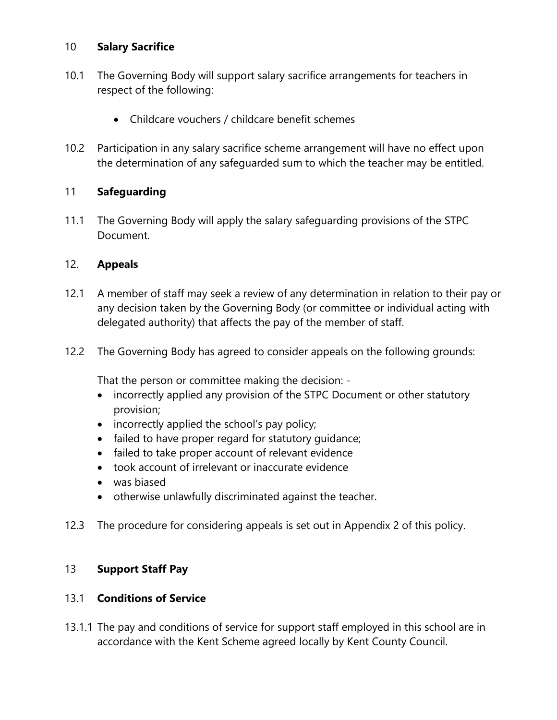#### 10 **Salary Sacrifice**

- 10.1 The Governing Body will support salary sacrifice arrangements for teachers in respect of the following:
	- Childcare vouchers / childcare benefit schemes
- 10.2 Participation in any salary sacrifice scheme arrangement will have no effect upon the determination of any safeguarded sum to which the teacher may be entitled.

#### 11 **Safeguarding**

11.1 The Governing Body will apply the salary safeguarding provisions of the STPC Document.

#### 12. **Appeals**

- 12.1 A member of staff may seek a review of any determination in relation to their pay or any decision taken by the Governing Body (or committee or individual acting with delegated authority) that affects the pay of the member of staff.
- 12.2 The Governing Body has agreed to consider appeals on the following grounds:

That the person or committee making the decision: -

- incorrectly applied any provision of the STPC Document or other statutory provision;
- incorrectly applied the school's pay policy;
- failed to have proper regard for statutory guidance;
- failed to take proper account of relevant evidence
- took account of irrelevant or inaccurate evidence
- was biased
- otherwise unlawfully discriminated against the teacher.
- 12.3 The procedure for considering appeals is set out in Appendix 2 of this policy.

### 13 **Support Staff Pay**

#### 13.1 **Conditions of Service**

13.1.1 The pay and conditions of service for support staff employed in this school are in accordance with the Kent Scheme agreed locally by Kent County Council.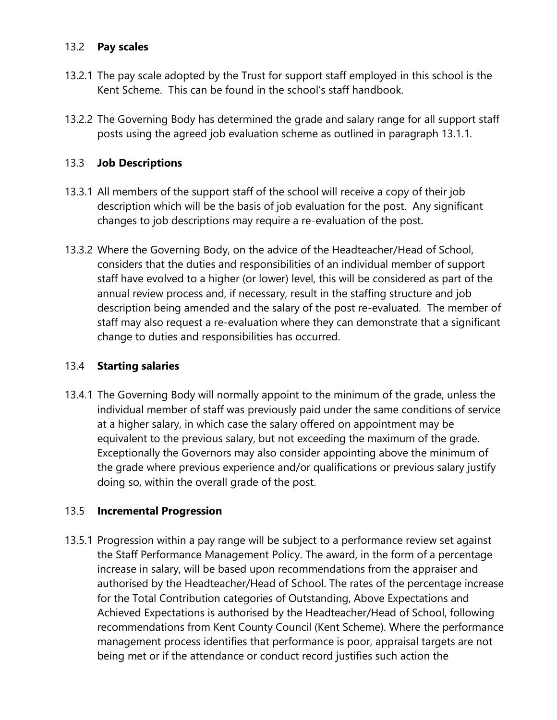#### 13.2 **Pay scales**

- 13.2.1 The pay scale adopted by the Trust for support staff employed in this school is the Kent Scheme. This can be found in the school's staff handbook.
- 13.2.2 The Governing Body has determined the grade and salary range for all support staff posts using the agreed job evaluation scheme as outlined in paragraph 13.1.1.

### 13.3 **Job Descriptions**

- 13.3.1 All members of the support staff of the school will receive a copy of their job description which will be the basis of job evaluation for the post. Any significant changes to job descriptions may require a re-evaluation of the post.
- 13.3.2 Where the Governing Body, on the advice of the Headteacher/Head of School, considers that the duties and responsibilities of an individual member of support staff have evolved to a higher (or lower) level, this will be considered as part of the annual review process and, if necessary, result in the staffing structure and job description being amended and the salary of the post re-evaluated. The member of staff may also request a re-evaluation where they can demonstrate that a significant change to duties and responsibilities has occurred.

### 13.4 **Starting salaries**

13.4.1 The Governing Body will normally appoint to the minimum of the grade, unless the individual member of staff was previously paid under the same conditions of service at a higher salary, in which case the salary offered on appointment may be equivalent to the previous salary, but not exceeding the maximum of the grade. Exceptionally the Governors may also consider appointing above the minimum of the grade where previous experience and/or qualifications or previous salary justify doing so, within the overall grade of the post.

#### 13.5 **Incremental Progression**

13.5.1 Progression within a pay range will be subject to a performance review set against the Staff Performance Management Policy. The award, in the form of a percentage increase in salary, will be based upon recommendations from the appraiser and authorised by the Headteacher/Head of School. The rates of the percentage increase for the Total Contribution categories of Outstanding, Above Expectations and Achieved Expectations is authorised by the Headteacher/Head of School, following recommendations from Kent County Council (Kent Scheme). Where the performance management process identifies that performance is poor, appraisal targets are not being met or if the attendance or conduct record justifies such action the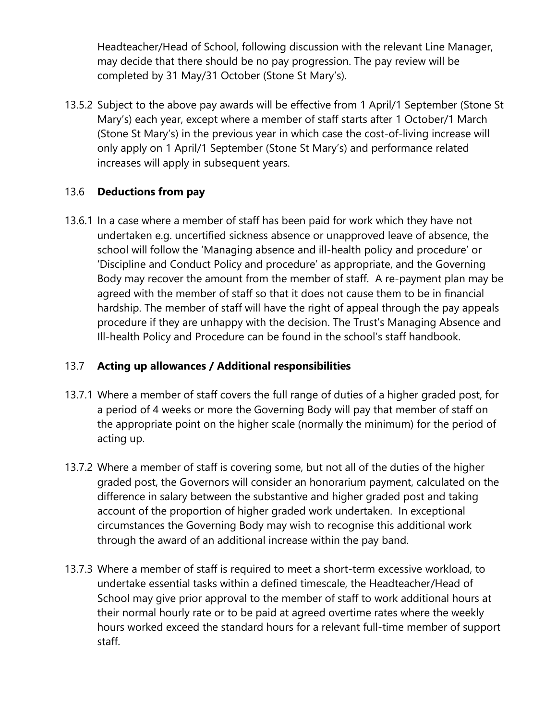Headteacher/Head of School, following discussion with the relevant Line Manager, may decide that there should be no pay progression. The pay review will be completed by 31 May/31 October (Stone St Mary's).

13.5.2 Subject to the above pay awards will be effective from 1 April/1 September (Stone St Mary's) each year, except where a member of staff starts after 1 October/1 March (Stone St Mary's) in the previous year in which case the cost-of-living increase will only apply on 1 April/1 September (Stone St Mary's) and performance related increases will apply in subsequent years.

#### 13.6 **Deductions from pay**

13.6.1 In a case where a member of staff has been paid for work which they have not undertaken e.g. uncertified sickness absence or unapproved leave of absence, the school will follow the 'Managing absence and ill-health policy and procedure' or 'Discipline and Conduct Policy and procedure' as appropriate, and the Governing Body may recover the amount from the member of staff. A re-payment plan may be agreed with the member of staff so that it does not cause them to be in financial hardship. The member of staff will have the right of appeal through the pay appeals procedure if they are unhappy with the decision. The Trust's Managing Absence and Ill-health Policy and Procedure can be found in the school's staff handbook.

#### 13.7 **Acting up allowances / Additional responsibilities**

- 13.7.1 Where a member of staff covers the full range of duties of a higher graded post, for a period of 4 weeks or more the Governing Body will pay that member of staff on the appropriate point on the higher scale (normally the minimum) for the period of acting up.
- 13.7.2 Where a member of staff is covering some, but not all of the duties of the higher graded post, the Governors will consider an honorarium payment, calculated on the difference in salary between the substantive and higher graded post and taking account of the proportion of higher graded work undertaken. In exceptional circumstances the Governing Body may wish to recognise this additional work through the award of an additional increase within the pay band.
- 13.7.3 Where a member of staff is required to meet a short-term excessive workload, to undertake essential tasks within a defined timescale, the Headteacher/Head of School may give prior approval to the member of staff to work additional hours at their normal hourly rate or to be paid at agreed overtime rates where the weekly hours worked exceed the standard hours for a relevant full-time member of support staff.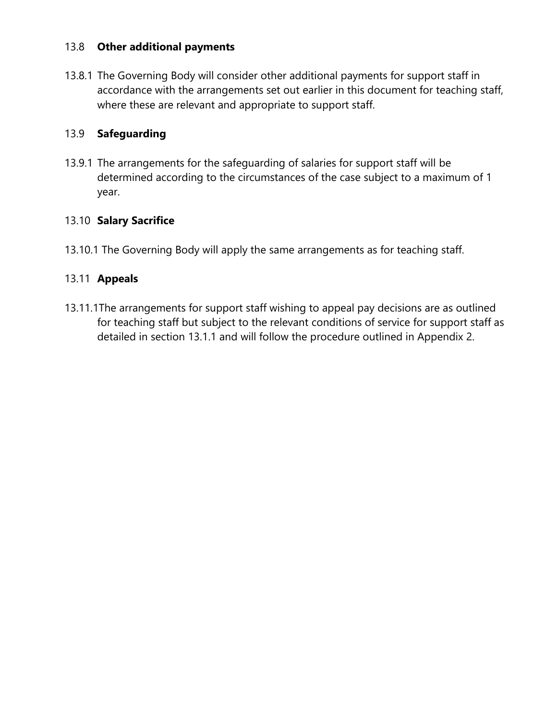#### 13.8 **Other additional payments**

13.8.1 The Governing Body will consider other additional payments for support staff in accordance with the arrangements set out earlier in this document for teaching staff, where these are relevant and appropriate to support staff.

# 13.9 **Safeguarding**

13.9.1 The arrangements for the safeguarding of salaries for support staff will be determined according to the circumstances of the case subject to a maximum of 1 year.

#### 13.10 **Salary Sacrifice**

13.10.1 The Governing Body will apply the same arrangements as for teaching staff.

#### 13.11 **Appeals**

13.11.1The arrangements for support staff wishing to appeal pay decisions are as outlined for teaching staff but subject to the relevant conditions of service for support staff as detailed in section 13.1.1 and will follow the procedure outlined in Appendix 2.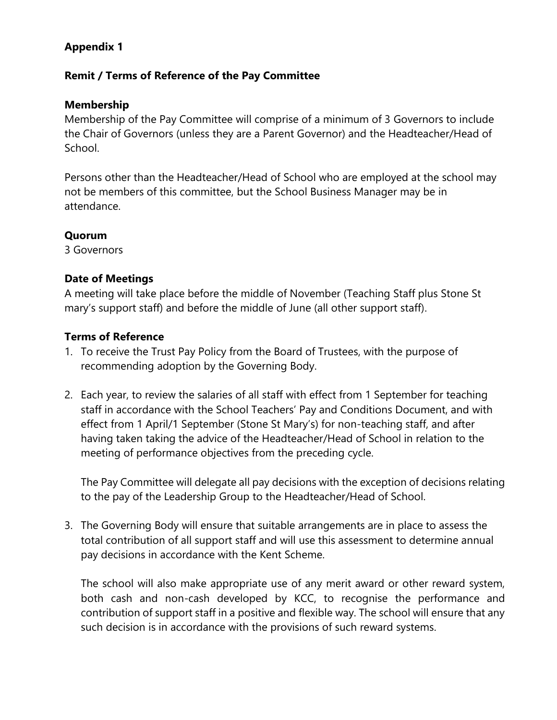# **Appendix 1**

#### **Remit / Terms of Reference of the Pay Committee**

#### **Membership**

Membership of the Pay Committee will comprise of a minimum of 3 Governors to include the Chair of Governors (unless they are a Parent Governor) and the Headteacher/Head of School.

Persons other than the Headteacher/Head of School who are employed at the school may not be members of this committee, but the School Business Manager may be in attendance.

#### **Quorum**

3 Governors

#### **Date of Meetings**

A meeting will take place before the middle of November (Teaching Staff plus Stone St mary's support staff) and before the middle of June (all other support staff).

#### **Terms of Reference**

- 1. To receive the Trust Pay Policy from the Board of Trustees, with the purpose of recommending adoption by the Governing Body.
- 2. Each year, to review the salaries of all staff with effect from 1 September for teaching staff in accordance with the School Teachers' Pay and Conditions Document, and with effect from 1 April/1 September (Stone St Mary's) for non-teaching staff, and after having taken taking the advice of the Headteacher/Head of School in relation to the meeting of performance objectives from the preceding cycle.

The Pay Committee will delegate all pay decisions with the exception of decisions relating to the pay of the Leadership Group to the Headteacher/Head of School.

3. The Governing Body will ensure that suitable arrangements are in place to assess the total contribution of all support staff and will use this assessment to determine annual pay decisions in accordance with the Kent Scheme.

The school will also make appropriate use of any merit award or other reward system, both cash and non-cash developed by KCC, to recognise the performance and contribution of support staff in a positive and flexible way. The school will ensure that any such decision is in accordance with the provisions of such reward systems.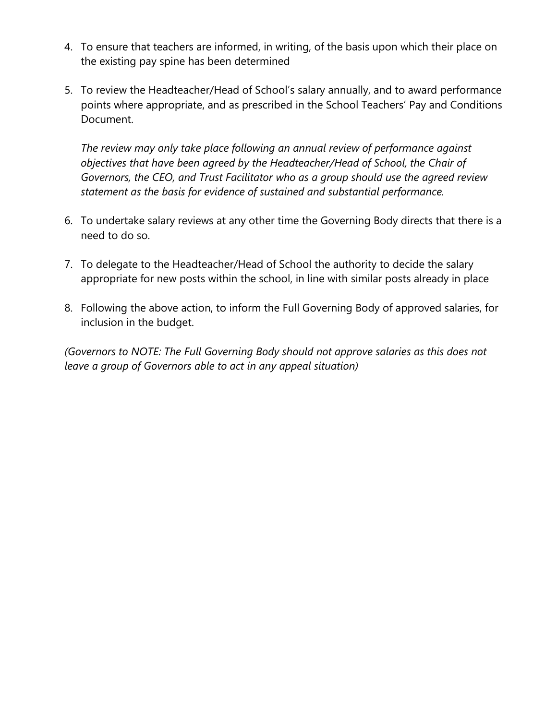- 4. To ensure that teachers are informed, in writing, of the basis upon which their place on the existing pay spine has been determined
- 5. To review the Headteacher/Head of School's salary annually, and to award performance points where appropriate, and as prescribed in the School Teachers' Pay and Conditions Document.

*The review may only take place following an annual review of performance against objectives that have been agreed by the Headteacher/Head of School, the Chair of Governors, the CEO, and Trust Facilitator who as a group should use the agreed review statement as the basis for evidence of sustained and substantial performance.* 

- 6. To undertake salary reviews at any other time the Governing Body directs that there is a need to do so.
- 7. To delegate to the Headteacher/Head of School the authority to decide the salary appropriate for new posts within the school, in line with similar posts already in place
- 8. Following the above action, to inform the Full Governing Body of approved salaries, for inclusion in the budget.

*(Governors to NOTE: The Full Governing Body should not approve salaries as this does not leave a group of Governors able to act in any appeal situation)*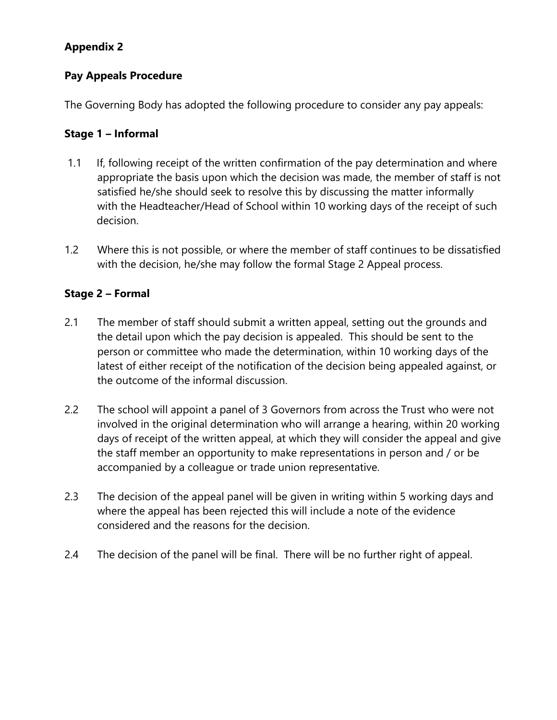# **Appendix 2**

#### **Pay Appeals Procedure**

The Governing Body has adopted the following procedure to consider any pay appeals:

#### **Stage 1 – Informal**

- 1.1 If, following receipt of the written confirmation of the pay determination and where appropriate the basis upon which the decision was made, the member of staff is not satisfied he/she should seek to resolve this by discussing the matter informally with the Headteacher/Head of School within 10 working days of the receipt of such decision.
- 1.2 Where this is not possible, or where the member of staff continues to be dissatisfied with the decision, he/she may follow the formal Stage 2 Appeal process.

#### **Stage 2 – Formal**

- 2.1 The member of staff should submit a written appeal, setting out the grounds and the detail upon which the pay decision is appealed. This should be sent to the person or committee who made the determination, within 10 working days of the latest of either receipt of the notification of the decision being appealed against, or the outcome of the informal discussion.
- 2.2 The school will appoint a panel of 3 Governors from across the Trust who were not involved in the original determination who will arrange a hearing, within 20 working days of receipt of the written appeal, at which they will consider the appeal and give the staff member an opportunity to make representations in person and / or be accompanied by a colleague or trade union representative.
- 2.3 The decision of the appeal panel will be given in writing within 5 working days and where the appeal has been rejected this will include a note of the evidence considered and the reasons for the decision.
- 2.4 The decision of the panel will be final. There will be no further right of appeal.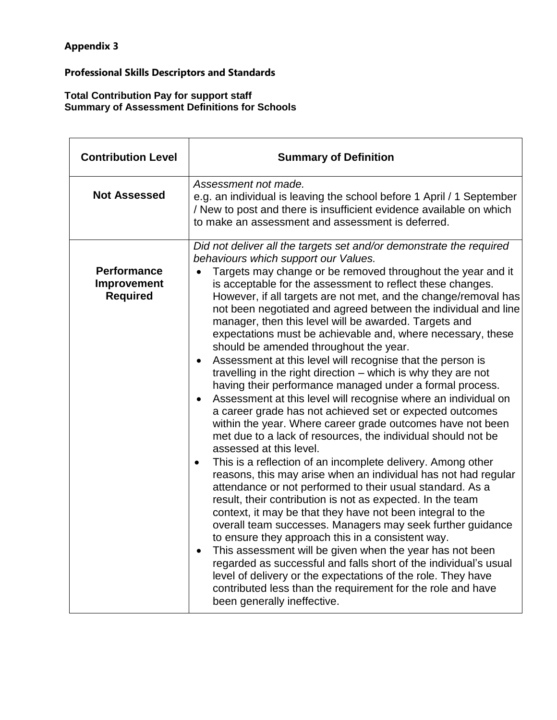#### **Professional Skills Descriptors and Standards**

#### **Total Contribution Pay for support staff Summary of Assessment Definitions for Schools**

| <b>Contribution Level</b>                            | <b>Summary of Definition</b>                                                                                                                                                                                                                                                                                                                                                                                                                                                                                                                                                                                                                                                                                                                                                                                                                                                                                                                                                                                                                                                                                                                                                                                                                                                                                                                                                                                                                                                                                                                                                                                                                                                                                                                                                                   |  |
|------------------------------------------------------|------------------------------------------------------------------------------------------------------------------------------------------------------------------------------------------------------------------------------------------------------------------------------------------------------------------------------------------------------------------------------------------------------------------------------------------------------------------------------------------------------------------------------------------------------------------------------------------------------------------------------------------------------------------------------------------------------------------------------------------------------------------------------------------------------------------------------------------------------------------------------------------------------------------------------------------------------------------------------------------------------------------------------------------------------------------------------------------------------------------------------------------------------------------------------------------------------------------------------------------------------------------------------------------------------------------------------------------------------------------------------------------------------------------------------------------------------------------------------------------------------------------------------------------------------------------------------------------------------------------------------------------------------------------------------------------------------------------------------------------------------------------------------------------------|--|
| <b>Not Assessed</b>                                  | Assessment not made.<br>e.g. an individual is leaving the school before 1 April / 1 September<br>/ New to post and there is insufficient evidence available on which<br>to make an assessment and assessment is deferred.                                                                                                                                                                                                                                                                                                                                                                                                                                                                                                                                                                                                                                                                                                                                                                                                                                                                                                                                                                                                                                                                                                                                                                                                                                                                                                                                                                                                                                                                                                                                                                      |  |
| <b>Performance</b><br>Improvement<br><b>Required</b> | Did not deliver all the targets set and/or demonstrate the required<br>behaviours which support our Values.<br>Targets may change or be removed throughout the year and it<br>is acceptable for the assessment to reflect these changes.<br>However, if all targets are not met, and the change/removal has<br>not been negotiated and agreed between the individual and line<br>manager, then this level will be awarded. Targets and<br>expectations must be achievable and, where necessary, these<br>should be amended throughout the year.<br>Assessment at this level will recognise that the person is<br>٠<br>travelling in the right direction - which is why they are not<br>having their performance managed under a formal process.<br>Assessment at this level will recognise where an individual on<br>a career grade has not achieved set or expected outcomes<br>within the year. Where career grade outcomes have not been<br>met due to a lack of resources, the individual should not be<br>assessed at this level.<br>This is a reflection of an incomplete delivery. Among other<br>$\bullet$<br>reasons, this may arise when an individual has not had regular<br>attendance or not performed to their usual standard. As a<br>result, their contribution is not as expected. In the team<br>context, it may be that they have not been integral to the<br>overall team successes. Managers may seek further guidance<br>to ensure they approach this in a consistent way.<br>This assessment will be given when the year has not been<br>regarded as successful and falls short of the individual's usual<br>level of delivery or the expectations of the role. They have<br>contributed less than the requirement for the role and have<br>been generally ineffective. |  |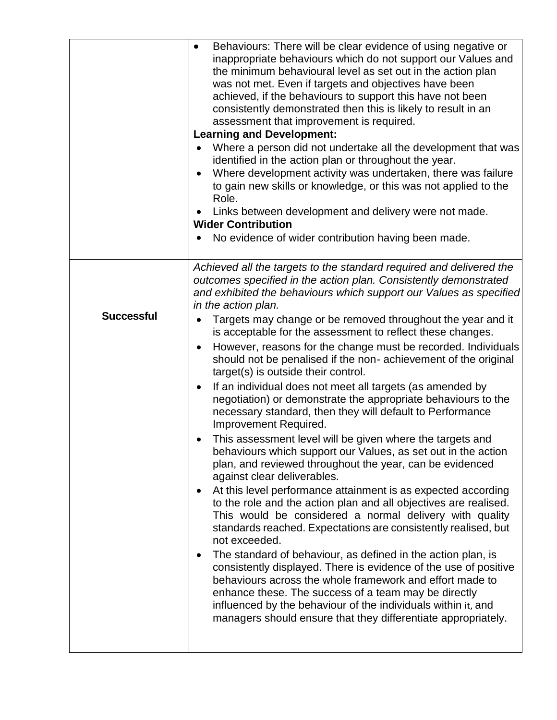|                   | Behaviours: There will be clear evidence of using negative or<br>$\bullet$<br>inappropriate behaviours which do not support our Values and<br>the minimum behavioural level as set out in the action plan<br>was not met. Even if targets and objectives have been<br>achieved, if the behaviours to support this have not been<br>consistently demonstrated then this is likely to result in an<br>assessment that improvement is required.<br><b>Learning and Development:</b><br>Where a person did not undertake all the development that was<br>identified in the action plan or throughout the year.<br>Where development activity was undertaken, there was failure<br>to gain new skills or knowledge, or this was not applied to the<br>Role.<br>Links between development and delivery were not made.<br><b>Wider Contribution</b><br>No evidence of wider contribution having been made. |
|-------------------|-----------------------------------------------------------------------------------------------------------------------------------------------------------------------------------------------------------------------------------------------------------------------------------------------------------------------------------------------------------------------------------------------------------------------------------------------------------------------------------------------------------------------------------------------------------------------------------------------------------------------------------------------------------------------------------------------------------------------------------------------------------------------------------------------------------------------------------------------------------------------------------------------------|
|                   | Achieved all the targets to the standard required and delivered the<br>outcomes specified in the action plan. Consistently demonstrated<br>and exhibited the behaviours which support our Values as specified<br>in the action plan.                                                                                                                                                                                                                                                                                                                                                                                                                                                                                                                                                                                                                                                                |
| <b>Successful</b> | Targets may change or be removed throughout the year and it<br>is acceptable for the assessment to reflect these changes.                                                                                                                                                                                                                                                                                                                                                                                                                                                                                                                                                                                                                                                                                                                                                                           |
|                   | However, reasons for the change must be recorded. Individuals<br>should not be penalised if the non-achievement of the original<br>target(s) is outside their control.                                                                                                                                                                                                                                                                                                                                                                                                                                                                                                                                                                                                                                                                                                                              |
|                   | If an individual does not meet all targets (as amended by<br>٠<br>negotiation) or demonstrate the appropriate behaviours to the<br>necessary standard, then they will default to Performance<br>Improvement Required.                                                                                                                                                                                                                                                                                                                                                                                                                                                                                                                                                                                                                                                                               |
|                   | This assessment level will be given where the targets and<br>behaviours which support our Values, as set out in the action<br>plan, and reviewed throughout the year, can be evidenced<br>against clear deliverables.                                                                                                                                                                                                                                                                                                                                                                                                                                                                                                                                                                                                                                                                               |
|                   | At this level performance attainment is as expected according<br>to the role and the action plan and all objectives are realised.<br>This would be considered a normal delivery with quality<br>standards reached. Expectations are consistently realised, but<br>not exceeded.                                                                                                                                                                                                                                                                                                                                                                                                                                                                                                                                                                                                                     |
|                   | The standard of behaviour, as defined in the action plan, is<br>٠<br>consistently displayed. There is evidence of the use of positive<br>behaviours across the whole framework and effort made to<br>enhance these. The success of a team may be directly<br>influenced by the behaviour of the individuals within it, and<br>managers should ensure that they differentiate appropriately.                                                                                                                                                                                                                                                                                                                                                                                                                                                                                                         |
|                   |                                                                                                                                                                                                                                                                                                                                                                                                                                                                                                                                                                                                                                                                                                                                                                                                                                                                                                     |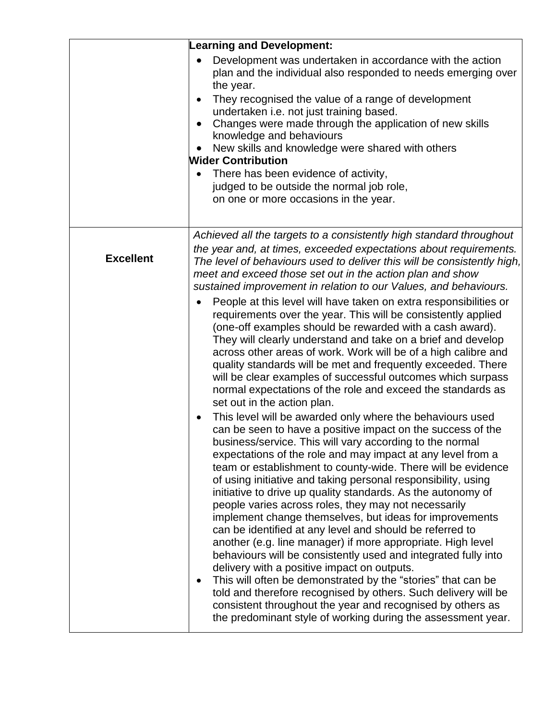|                  | <b>Learning and Development:</b>                                                                                                                                                                                                                                                                                                                                                                                                                                                                                                                                                                                                                                                                                                                                                                                                                                                                                                                                                                                                                                                    |
|------------------|-------------------------------------------------------------------------------------------------------------------------------------------------------------------------------------------------------------------------------------------------------------------------------------------------------------------------------------------------------------------------------------------------------------------------------------------------------------------------------------------------------------------------------------------------------------------------------------------------------------------------------------------------------------------------------------------------------------------------------------------------------------------------------------------------------------------------------------------------------------------------------------------------------------------------------------------------------------------------------------------------------------------------------------------------------------------------------------|
|                  | Development was undertaken in accordance with the action<br>plan and the individual also responded to needs emerging over<br>the year.<br>They recognised the value of a range of development<br>undertaken i.e. not just training based.<br>Changes were made through the application of new skills<br>knowledge and behaviours<br>New skills and knowledge were shared with others<br><b>Wider Contribution</b><br>There has been evidence of activity,<br>judged to be outside the normal job role,<br>on one or more occasions in the year.                                                                                                                                                                                                                                                                                                                                                                                                                                                                                                                                     |
| <b>Excellent</b> | Achieved all the targets to a consistently high standard throughout<br>the year and, at times, exceeded expectations about requirements.<br>The level of behaviours used to deliver this will be consistently high,<br>meet and exceed those set out in the action plan and show<br>sustained improvement in relation to our Values, and behaviours.                                                                                                                                                                                                                                                                                                                                                                                                                                                                                                                                                                                                                                                                                                                                |
|                  | People at this level will have taken on extra responsibilities or<br>requirements over the year. This will be consistently applied<br>(one-off examples should be rewarded with a cash award).<br>They will clearly understand and take on a brief and develop<br>across other areas of work. Work will be of a high calibre and<br>quality standards will be met and frequently exceeded. There<br>will be clear examples of successful outcomes which surpass<br>normal expectations of the role and exceed the standards as<br>set out in the action plan.                                                                                                                                                                                                                                                                                                                                                                                                                                                                                                                       |
|                  | This level will be awarded only where the behaviours used<br>can be seen to have a positive impact on the success of the<br>business/service. This will vary according to the normal<br>expectations of the role and may impact at any level from a<br>team or establishment to county-wide. There will be evidence<br>of using initiative and taking personal responsibility, using<br>initiative to drive up quality standards. As the autonomy of<br>people varies across roles, they may not necessarily<br>implement change themselves, but ideas for improvements<br>can be identified at any level and should be referred to<br>another (e.g. line manager) if more appropriate. High level<br>behaviours will be consistently used and integrated fully into<br>delivery with a positive impact on outputs.<br>This will often be demonstrated by the "stories" that can be<br>told and therefore recognised by others. Such delivery will be<br>consistent throughout the year and recognised by others as<br>the predominant style of working during the assessment year. |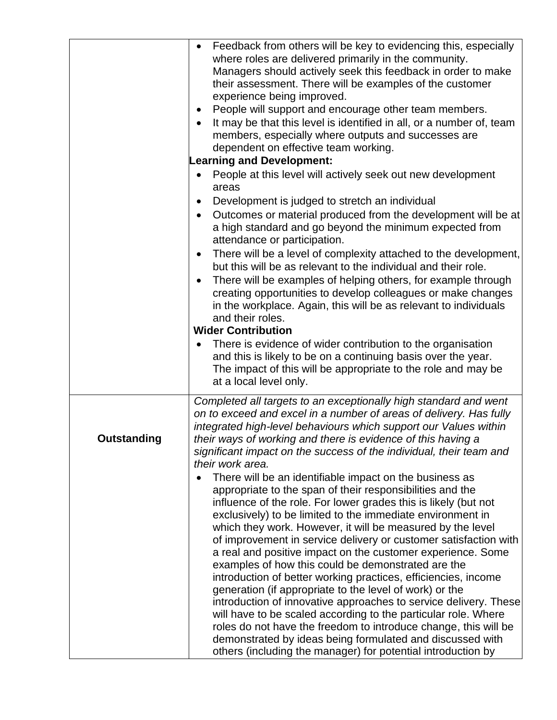|             | Feedback from others will be key to evidencing this, especially<br>where roles are delivered primarily in the community.<br>Managers should actively seek this feedback in order to make<br>their assessment. There will be examples of the customer<br>experience being improved.<br>People will support and encourage other team members.<br>It may be that this level is identified in all, or a number of, team<br>members, especially where outputs and successes are<br>dependent on effective team working.<br><b>Learning and Development:</b><br>People at this level will actively seek out new development<br>areas<br>Development is judged to stretch an individual<br>$\bullet$<br>Outcomes or material produced from the development will be at<br>a high standard and go beyond the minimum expected from<br>attendance or participation.<br>There will be a level of complexity attached to the development,<br>٠<br>but this will be as relevant to the individual and their role.<br>There will be examples of helping others, for example through<br>creating opportunities to develop colleagues or make changes<br>in the workplace. Again, this will be as relevant to individuals<br>and their roles.<br><b>Wider Contribution</b><br>There is evidence of wider contribution to the organisation<br>and this is likely to be on a continuing basis over the year. |
|-------------|--------------------------------------------------------------------------------------------------------------------------------------------------------------------------------------------------------------------------------------------------------------------------------------------------------------------------------------------------------------------------------------------------------------------------------------------------------------------------------------------------------------------------------------------------------------------------------------------------------------------------------------------------------------------------------------------------------------------------------------------------------------------------------------------------------------------------------------------------------------------------------------------------------------------------------------------------------------------------------------------------------------------------------------------------------------------------------------------------------------------------------------------------------------------------------------------------------------------------------------------------------------------------------------------------------------------------------------------------------------------------------------------|
|             | The impact of this will be appropriate to the role and may be<br>at a local level only.                                                                                                                                                                                                                                                                                                                                                                                                                                                                                                                                                                                                                                                                                                                                                                                                                                                                                                                                                                                                                                                                                                                                                                                                                                                                                                    |
| Outstanding | Completed all targets to an exceptionally high standard and went<br>on to exceed and excel in a number of areas of delivery. Has fully<br>integrated high-level behaviours which support our Values within<br>their ways of working and there is evidence of this having a<br>significant impact on the success of the individual, their team and<br>their work area.                                                                                                                                                                                                                                                                                                                                                                                                                                                                                                                                                                                                                                                                                                                                                                                                                                                                                                                                                                                                                      |
|             | There will be an identifiable impact on the business as<br>appropriate to the span of their responsibilities and the<br>influence of the role. For lower grades this is likely (but not<br>exclusively) to be limited to the immediate environment in<br>which they work. However, it will be measured by the level<br>of improvement in service delivery or customer satisfaction with<br>a real and positive impact on the customer experience. Some<br>examples of how this could be demonstrated are the<br>introduction of better working practices, efficiencies, income<br>generation (if appropriate to the level of work) or the<br>introduction of innovative approaches to service delivery. These<br>will have to be scaled according to the particular role. Where<br>roles do not have the freedom to introduce change, this will be<br>demonstrated by ideas being formulated and discussed with<br>others (including the manager) for potential introduction by                                                                                                                                                                                                                                                                                                                                                                                                            |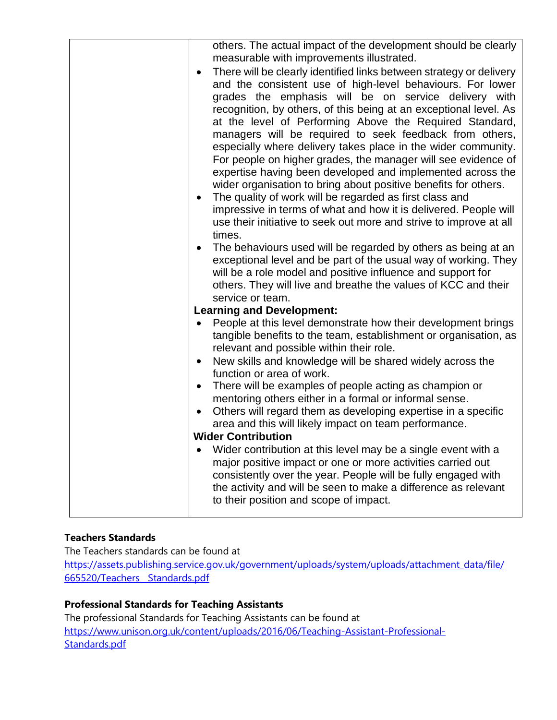| others. The actual impact of the development should be clearly<br>measurable with improvements illustrated.<br>There will be clearly identified links between strategy or delivery<br>$\bullet$<br>and the consistent use of high-level behaviours. For lower<br>grades the emphasis will be on service delivery with<br>recognition, by others, of this being at an exceptional level. As<br>at the level of Performing Above the Required Standard,<br>managers will be required to seek feedback from others,<br>especially where delivery takes place in the wider community.<br>For people on higher grades, the manager will see evidence of<br>expertise having been developed and implemented across the<br>wider organisation to bring about positive benefits for others.<br>The quality of work will be regarded as first class and<br>$\bullet$<br>impressive in terms of what and how it is delivered. People will<br>use their initiative to seek out more and strive to improve at all<br>times.<br>The behaviours used will be regarded by others as being at an<br>٠<br>exceptional level and be part of the usual way of working. They<br>will be a role model and positive influence and support for<br>others. They will live and breathe the values of KCC and their |
|-------------------------------------------------------------------------------------------------------------------------------------------------------------------------------------------------------------------------------------------------------------------------------------------------------------------------------------------------------------------------------------------------------------------------------------------------------------------------------------------------------------------------------------------------------------------------------------------------------------------------------------------------------------------------------------------------------------------------------------------------------------------------------------------------------------------------------------------------------------------------------------------------------------------------------------------------------------------------------------------------------------------------------------------------------------------------------------------------------------------------------------------------------------------------------------------------------------------------------------------------------------------------------------------|
| service or team.                                                                                                                                                                                                                                                                                                                                                                                                                                                                                                                                                                                                                                                                                                                                                                                                                                                                                                                                                                                                                                                                                                                                                                                                                                                                          |
|                                                                                                                                                                                                                                                                                                                                                                                                                                                                                                                                                                                                                                                                                                                                                                                                                                                                                                                                                                                                                                                                                                                                                                                                                                                                                           |
| <b>Learning and Development:</b>                                                                                                                                                                                                                                                                                                                                                                                                                                                                                                                                                                                                                                                                                                                                                                                                                                                                                                                                                                                                                                                                                                                                                                                                                                                          |
| People at this level demonstrate how their development brings<br>tangible benefits to the team, establishment or organisation, as<br>relevant and possible within their role.                                                                                                                                                                                                                                                                                                                                                                                                                                                                                                                                                                                                                                                                                                                                                                                                                                                                                                                                                                                                                                                                                                             |
| New skills and knowledge will be shared widely across the<br>$\bullet$<br>function or area of work.                                                                                                                                                                                                                                                                                                                                                                                                                                                                                                                                                                                                                                                                                                                                                                                                                                                                                                                                                                                                                                                                                                                                                                                       |
| There will be examples of people acting as champion or<br>$\bullet$<br>mentoring others either in a formal or informal sense.<br>Others will regard them as developing expertise in a specific<br>$\bullet$<br>area and this will likely impact on team performance.<br><b>Wider Contribution</b>                                                                                                                                                                                                                                                                                                                                                                                                                                                                                                                                                                                                                                                                                                                                                                                                                                                                                                                                                                                         |
| Wider contribution at this level may be a single event with a<br>major positive impact or one or more activities carried out<br>consistently over the year. People will be fully engaged with<br>the activity and will be seen to make a difference as relevant<br>to their position and scope of impact.                                                                                                                                                                                                                                                                                                                                                                                                                                                                                                                                                                                                                                                                                                                                                                                                                                                                                                                                                                                 |

#### **Teachers Standards**

The Teachers standards can be found at [https://assets.publishing.service.gov.uk/government/uploads/system/uploads/attachment\\_data/file/](https://assets.publishing.service.gov.uk/government/uploads/system/uploads/attachment_data/file/665520/Teachers__Standards.pdf) [665520/Teachers\\_\\_Standards.pdf](https://assets.publishing.service.gov.uk/government/uploads/system/uploads/attachment_data/file/665520/Teachers__Standards.pdf)

#### **Professional Standards for Teaching Assistants**

The professional Standards for Teaching Assistants can be found at [https://www.unison.org.uk/content/uploads/2016/06/Teaching-Assistant-Professional-](https://www.unison.org.uk/content/uploads/2016/06/Teaching-Assistant-Professional-Standards.pdf)[Standards.pdf](https://www.unison.org.uk/content/uploads/2016/06/Teaching-Assistant-Professional-Standards.pdf)